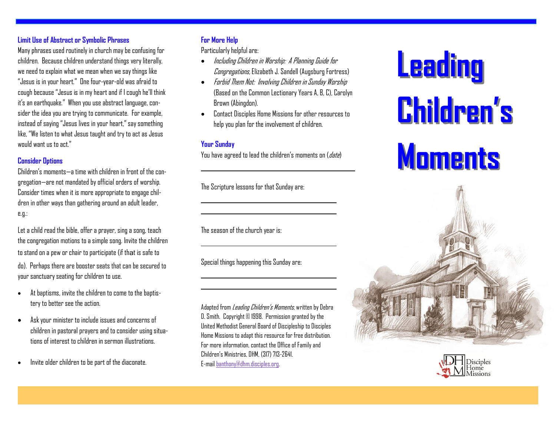### **Limit Use of Abstract or Symbolic Phrases**

Many phrases used routinely in church may be confusing for children. Because children understand things very literally, we need to explain what we mean when we say things like "Jesus is in your heart." One four-year-old was afraid to cough because "Jesus is in my heart and if I cough he'll think it's an earthquake." When you use abstract language, consider the idea you are trying to communicate. For example, instead of saying "Jesus lives in your heart," say something like, "We listen to what Jesus taught and try to act as Jesus would want us to act."

#### **Consider Options**

Children's moments—a time with children in front of the congregation—are not mandated by official orders of worship. Consider times when it is more appropriate to engage children in other ways than gathering around an adult leader, e.g.:

Let a child read the bible, offer a prayer, sing a song, teach the congregation motions to a simple song. Invite the children to stand on a pew or chair to participate (if that is safe to do). Perhaps there are booster seats that can be secured to your sanctuary seating for children to use.

- At baptisms, invite the children to come to the baptistery to better see the action.
- Ask your minister to include issues and concerns of children in pastoral prayers and to consider using situations of interest to children in sermon illustrations.
- Invite older children to be part of the diaconate.

## **For More Help**

Particularly helpful are:

- $\bullet$  Including Children in Worship: A Planning Guide for Congregations, Elizabeth J. Sandell (Augsburg Fortress)
- Forbid Them Not: Involving Children in Sunday Worship (Based on the Common Lectionary Years A, B, C), Carolyn Brown (Abingdon).
- Contact Disciples Home Missions for other resources to help you plan for the involvement of children.

### **Your Sunday**

You have agreed to lead the children's moments on  $(date)$ 

The Scripture lessons for that Sunday are:

The season of the church year is:

Special things happening this Sunday are:

Adapted from *Leading Children's Moments*, written by Debra D. Smith. Copyright © 1998. Permission granted by the United Methodist General Board of Discipleship to Disciples Home Missions to adapt this resource for free distribution. For more information, contact the Office of Family and Children's Ministries, DHM, (317) 713-2641. E-mail [banthony@dhm.disciples.org.](mailto:wshuffitt@dhm.disciples.org)

**Leading Children's Moments**